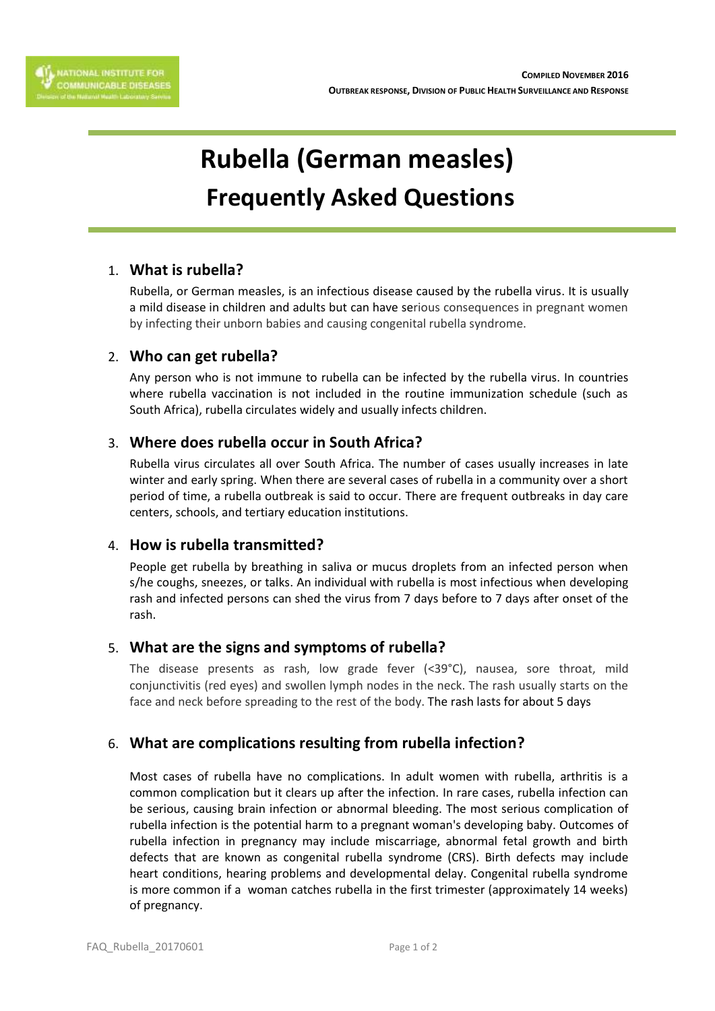

# **Rubella (German measles) Frequently Asked Questions**

# 1. **What is rubella?**

Rubella, or German measles, is an infectious disease caused by the rubella virus. It is usually a mild disease in children and adults but can have serious consequences in pregnant women by infecting their unborn babies and causing congenital rubella syndrome.

## 2. **Who can get rubella?**

Any person who is not immune to rubella can be infected by the rubella virus. In countries where rubella vaccination is not included in the routine immunization schedule (such as South Africa), rubella circulates widely and usually infects children.

# 3. **Where does rubella occur in South Africa?**

Rubella virus circulates all over South Africa. The number of cases usually increases in late winter and early spring. When there are several cases of rubella in a community over a short period of time, a rubella outbreak is said to occur. There are frequent outbreaks in day care centers, schools, and tertiary education institutions.

## 4. **How is rubella transmitted?**

People get rubella by breathing in saliva or mucus droplets from an infected person when s/he coughs, sneezes, or talks. An individual with rubella is most infectious when developing rash and infected persons can shed the virus from 7 days before to 7 days after onset of the rash.

# 5. **What are the signs and symptoms of rubella?**

The disease presents as rash, low grade fever (<39°C), nausea, sore throat, mild conjunctivitis (red eyes) and swollen lymph nodes in the neck. The rash usually starts on the face and neck before spreading to the rest of the body. The rash lasts for about 5 days

# 6. **What are complications resulting from rubella infection?**

Most cases of rubella have no complications. In adult women with rubella, arthritis is a common complication but it clears up after the infection. In rare cases, rubella infection can be serious, causing brain infection or abnormal bleeding. The most serious complication of rubella infection is the potential harm to a pregnant woman's developing baby. Outcomes of rubella infection in pregnancy may include miscarriage, abnormal fetal growth and birth defects that are known as congenital rubella syndrome (CRS). Birth defects may include heart conditions, hearing problems and developmental delay. Congenital rubella syndrome is more common if a woman catches rubella in the first trimester (approximately 14 weeks) of pregnancy.